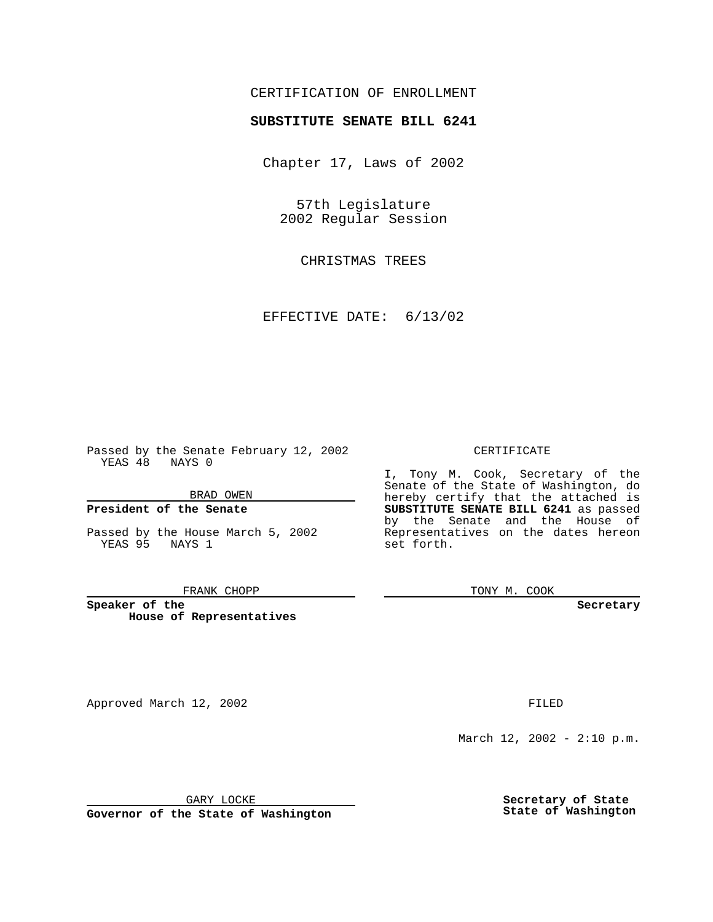# CERTIFICATION OF ENROLLMENT

# **SUBSTITUTE SENATE BILL 6241**

Chapter 17, Laws of 2002

57th Legislature 2002 Regular Session

CHRISTMAS TREES

EFFECTIVE DATE: 6/13/02

Passed by the Senate February 12, 2002 YEAS 48 NAYS 0

BRAD OWEN

### **President of the Senate**

Passed by the House March 5, 2002 YEAS 95 NAYS 1

#### FRANK CHOPP

**Speaker of the House of Representatives**

Approved March 12, 2002 **FILED** 

#### CERTIFICATE

I, Tony M. Cook, Secretary of the Senate of the State of Washington, do hereby certify that the attached is **SUBSTITUTE SENATE BILL 6241** as passed by the Senate and the House of Representatives on the dates hereon set forth.

TONY M. COOK

**Secretary**

March 12, 2002 - 2:10 p.m.

GARY LOCKE

**Governor of the State of Washington**

**Secretary of State State of Washington**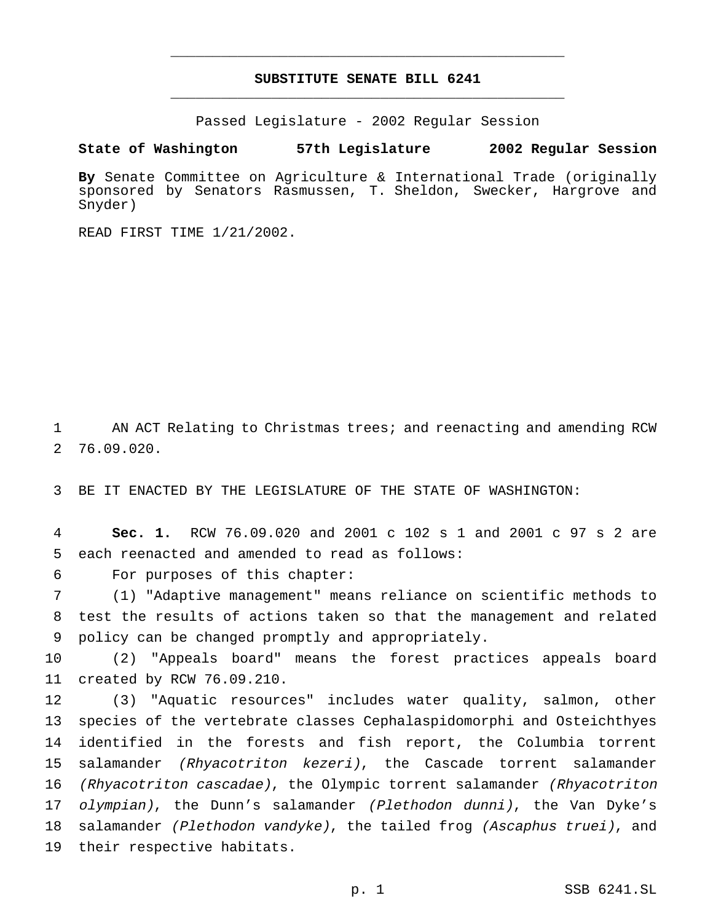# **SUBSTITUTE SENATE BILL 6241** \_\_\_\_\_\_\_\_\_\_\_\_\_\_\_\_\_\_\_\_\_\_\_\_\_\_\_\_\_\_\_\_\_\_\_\_\_\_\_\_\_\_\_\_\_\_\_

\_\_\_\_\_\_\_\_\_\_\_\_\_\_\_\_\_\_\_\_\_\_\_\_\_\_\_\_\_\_\_\_\_\_\_\_\_\_\_\_\_\_\_\_\_\_\_

Passed Legislature - 2002 Regular Session

**State of Washington 57th Legislature 2002 Regular Session**

**By** Senate Committee on Agriculture & International Trade (originally sponsored by Senators Rasmussen, T. Sheldon, Swecker, Hargrove and Snyder)

READ FIRST TIME 1/21/2002.

 AN ACT Relating to Christmas trees; and reenacting and amending RCW 76.09.020.

BE IT ENACTED BY THE LEGISLATURE OF THE STATE OF WASHINGTON:

 **Sec. 1.** RCW 76.09.020 and 2001 c 102 s 1 and 2001 c 97 s 2 are each reenacted and amended to read as follows:

For purposes of this chapter:

 (1) "Adaptive management" means reliance on scientific methods to test the results of actions taken so that the management and related policy can be changed promptly and appropriately.

 (2) "Appeals board" means the forest practices appeals board created by RCW 76.09.210.

 (3) "Aquatic resources" includes water quality, salmon, other species of the vertebrate classes Cephalaspidomorphi and Osteichthyes identified in the forests and fish report, the Columbia torrent salamander (Rhyacotriton kezeri), the Cascade torrent salamander (Rhyacotriton cascadae), the Olympic torrent salamander (Rhyacotriton *olympian)*, the Dunn's salamander (Plethodon dunni), the Van Dyke's 18 salamander (Plethodon vandyke), the tailed frog (Ascaphus truei), and their respective habitats.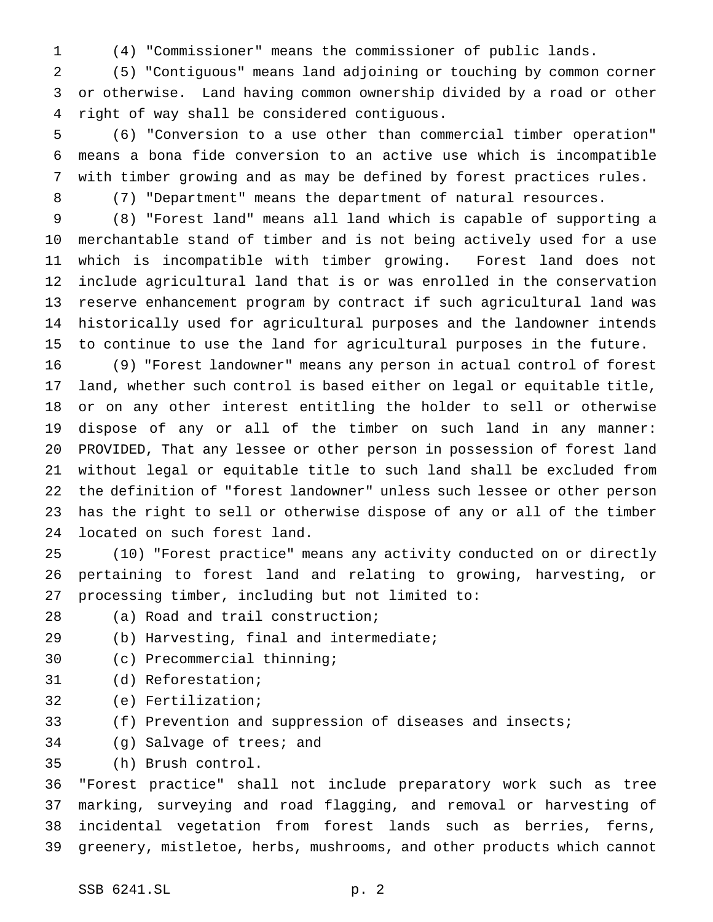(4) "Commissioner" means the commissioner of public lands.

 (5) "Contiguous" means land adjoining or touching by common corner or otherwise. Land having common ownership divided by a road or other right of way shall be considered contiguous.

 (6) "Conversion to a use other than commercial timber operation" means a bona fide conversion to an active use which is incompatible with timber growing and as may be defined by forest practices rules.

(7) "Department" means the department of natural resources.

 (8) "Forest land" means all land which is capable of supporting a merchantable stand of timber and is not being actively used for a use which is incompatible with timber growing. Forest land does not include agricultural land that is or was enrolled in the conservation reserve enhancement program by contract if such agricultural land was historically used for agricultural purposes and the landowner intends to continue to use the land for agricultural purposes in the future.

 (9) "Forest landowner" means any person in actual control of forest land, whether such control is based either on legal or equitable title, or on any other interest entitling the holder to sell or otherwise dispose of any or all of the timber on such land in any manner: PROVIDED, That any lessee or other person in possession of forest land without legal or equitable title to such land shall be excluded from the definition of "forest landowner" unless such lessee or other person has the right to sell or otherwise dispose of any or all of the timber located on such forest land.

 (10) "Forest practice" means any activity conducted on or directly pertaining to forest land and relating to growing, harvesting, or processing timber, including but not limited to:

- (a) Road and trail construction;
- (b) Harvesting, final and intermediate;
- (c) Precommercial thinning;
- (d) Reforestation;
- (e) Fertilization;
- (f) Prevention and suppression of diseases and insects;
- (g) Salvage of trees; and

(h) Brush control.

 "Forest practice" shall not include preparatory work such as tree marking, surveying and road flagging, and removal or harvesting of incidental vegetation from forest lands such as berries, ferns, greenery, mistletoe, herbs, mushrooms, and other products which cannot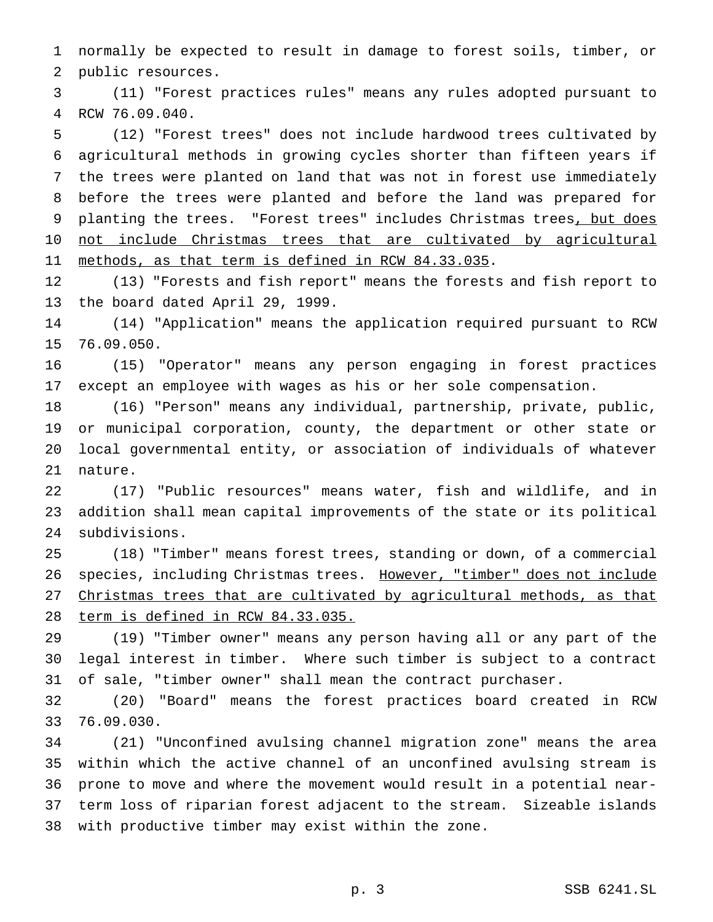normally be expected to result in damage to forest soils, timber, or public resources.

 (11) "Forest practices rules" means any rules adopted pursuant to RCW 76.09.040.

 (12) "Forest trees" does not include hardwood trees cultivated by agricultural methods in growing cycles shorter than fifteen years if the trees were planted on land that was not in forest use immediately before the trees were planted and before the land was prepared for 9 planting the trees. "Forest trees" includes Christmas trees, but does 10 not include Christmas trees that are cultivated by agricultural methods, as that term is defined in RCW 84.33.035.

 (13) "Forests and fish report" means the forests and fish report to the board dated April 29, 1999.

 (14) "Application" means the application required pursuant to RCW 76.09.050.

 (15) "Operator" means any person engaging in forest practices except an employee with wages as his or her sole compensation.

 (16) "Person" means any individual, partnership, private, public, or municipal corporation, county, the department or other state or local governmental entity, or association of individuals of whatever nature.

 (17) "Public resources" means water, fish and wildlife, and in addition shall mean capital improvements of the state or its political subdivisions.

 (18) "Timber" means forest trees, standing or down, of a commercial 26 species, including Christmas trees. However, "timber" does not include Christmas trees that are cultivated by agricultural methods, as that term is defined in RCW 84.33.035.

 (19) "Timber owner" means any person having all or any part of the legal interest in timber. Where such timber is subject to a contract of sale, "timber owner" shall mean the contract purchaser.

 (20) "Board" means the forest practices board created in RCW 76.09.030.

 (21) "Unconfined avulsing channel migration zone" means the area within which the active channel of an unconfined avulsing stream is prone to move and where the movement would result in a potential near- term loss of riparian forest adjacent to the stream. Sizeable islands with productive timber may exist within the zone.